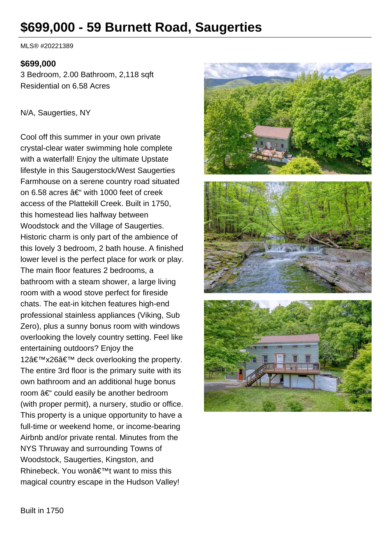# **\$699,000 - 59 Burnett Road, Saugerties**

MLS® #20221389

#### **\$699,000**

3 Bedroom, 2.00 Bathroom, 2,118 sqft Residential on 6.58 Acres

#### N/A, Saugerties, NY

Cool off this summer in your own private crystal-clear water swimming hole complete with a waterfall! Enjoy the ultimate Upstate lifestyle in this Saugerstock/West Saugerties Farmhouse on a serene country road situated on 6.58 acres  $\hat{a} \in \hat{a}$  with 1000 feet of creek access of the Plattekill Creek. Built in 1750, this homestead lies halfway between Woodstock and the Village of Saugerties. Historic charm is only part of the ambience of this lovely 3 bedroom, 2 bath house. A finished lower level is the perfect place for work or play. The main floor features 2 bedrooms, a bathroom with a steam shower, a large living room with a wood stove perfect for fireside chats. The eat-in kitchen features high-end professional stainless appliances (Viking, Sub Zero), plus a sunny bonus room with windows overlooking the lovely country setting. Feel like entertaining outdoors? Enjoy the 12 $â$ €™x26 $â$ €™ deck overlooking the property. The entire 3rd floor is the primary suite with its own bathroom and an additional huge bonus room  $\hat{a} \in \hat{C}$  could easily be another bedroom (with proper permit), a nursery, studio or office. This property is a unique opportunity to have a full-time or weekend home, or income-bearing Airbnb and/or private rental. Minutes from the NYS Thruway and surrounding Towns of Woodstock, Saugerties, Kingston, and Rhinebeck. You won't want to miss this magical country escape in the Hudson Valley!

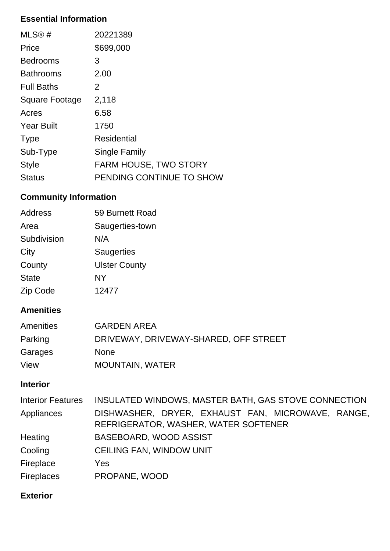# **Essential Information**

| MLS@#             | 20221389                     |
|-------------------|------------------------------|
| Price             | \$699,000                    |
| <b>Bedrooms</b>   | 3                            |
| <b>Bathrooms</b>  | 2.00                         |
| <b>Full Baths</b> | 2                            |
| Square Footage    | 2,118                        |
| Acres             | 6.58                         |
| <b>Year Built</b> | 1750                         |
| <b>Type</b>       | Residential                  |
| Sub-Type          | Single Family                |
| <b>Style</b>      | <b>FARM HOUSE, TWO STORY</b> |
| Status            | PENDING CONTINUE TO SHOW     |

# **Community Information**

| <b>Address</b> | 59 Burnett Road      |
|----------------|----------------------|
| Area           | Saugerties-town      |
| Subdivision    | N/A                  |
| City           | <b>Saugerties</b>    |
| County         | <b>Ulster County</b> |
| <b>State</b>   | NY                   |
| Zip Code       | 12477                |

### **Amenities**

| Amenities | <b>GARDEN AREA</b>                    |
|-----------|---------------------------------------|
| Parking   | DRIVEWAY, DRIVEWAY-SHARED, OFF STREET |
| Garages   | <b>None</b>                           |
| View      | <b>MOUNTAIN, WATER</b>                |

## **Interior**

| <b>Interior Features</b> | INSULATED WINDOWS, MASTER BATH, GAS STOVE CONNECTION                                      |
|--------------------------|-------------------------------------------------------------------------------------------|
| Appliances               | DISHWASHER, DRYER, EXHAUST FAN, MICROWAVE, RANGE,<br>REFRIGERATOR, WASHER, WATER SOFTENER |
| Heating                  | BASEBOARD, WOOD ASSIST                                                                    |
| Cooling                  | <b>CEILING FAN, WINDOW UNIT</b>                                                           |
| Fireplace                | Yes                                                                                       |
| Fireplaces               | PROPANE, WOOD                                                                             |

## **Exterior**